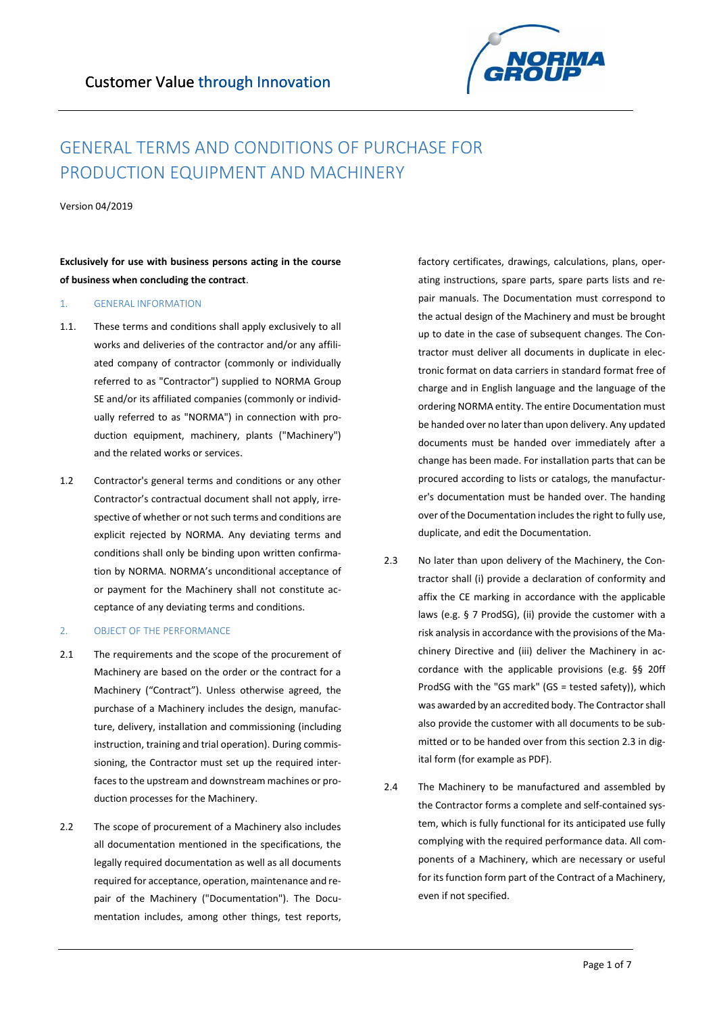

# GENERAL TERMS AND CONDITIONS OF PURCHASE FOR PRODUCTION EQUIPMENT AND MACHINERY

Version 04/2019

**Exclusively for use with business persons acting in the course of business when concluding the contract**.

#### 1. GENERAL INFORMATION

- 1.1. These terms and conditions shall apply exclusively to all works and deliveries of the contractor and/or any affiliated company of contractor (commonly or individually referred to as "Contractor") supplied to NORMA Group SE and/or its affiliated companies (commonly or individually referred to as "NORMA") in connection with production equipment, machinery, plants ("Machinery") and the related works or services.
- 1.2 Contractor's general terms and conditions or any other Contractor's contractual document shall not apply, irrespective of whether or not such terms and conditions are explicit rejected by NORMA. Any deviating terms and conditions shall only be binding upon written confirmation by NORMA. NORMA's unconditional acceptance of or payment for the Machinery shall not constitute acceptance of any deviating terms and conditions.

# 2. OBJECT OF THE PERFORMANCE

- 2.1 The requirements and the scope of the procurement of Machinery are based on the order or the contract for a Machinery ("Contract"). Unless otherwise agreed, the purchase of a Machinery includes the design, manufacture, delivery, installation and commissioning (including instruction, training and trial operation). During commissioning, the Contractor must set up the required interfaces to the upstream and downstream machines or production processes for the Machinery.
- 2.2 The scope of procurement of a Machinery also includes all documentation mentioned in the specifications, the legally required documentation as well as all documents required for acceptance, operation, maintenance and repair of the Machinery ("Documentation"). The Documentation includes, among other things, test reports,

factory certificates, drawings, calculations, plans, operating instructions, spare parts, spare parts lists and repair manuals. The Documentation must correspond to the actual design of the Machinery and must be brought up to date in the case of subsequent changes. The Contractor must deliver all documents in duplicate in electronic format on data carriers in standard format free of charge and in English language and the language of the ordering NORMA entity. The entire Documentation must be handed over no later than upon delivery. Any updated documents must be handed over immediately after a change has been made. For installation parts that can be procured according to lists or catalogs, the manufacturer's documentation must be handed over. The handing over of the Documentation includes the right to fully use, duplicate, and edit the Documentation.

- 2.3 No later than upon delivery of the Machinery, the Contractor shall (i) provide a declaration of conformity and affix the CE marking in accordance with the applicable laws (e.g. § 7 ProdSG), (ii) provide the customer with a risk analysis in accordance with the provisions of the Machinery Directive and (iii) deliver the Machinery in accordance with the applicable provisions (e.g. §§ 20ff ProdSG with the "GS mark" (GS = tested safety)), which was awarded by an accredited body. The Contractor shall also provide the customer with all documents to be submitted or to be handed over from this section 2.3 in digital form (for example as PDF).
- 2.4 The Machinery to be manufactured and assembled by the Contractor forms a complete and self-contained system, which is fully functional for its anticipated use fully complying with the required performance data. All components of a Machinery, which are necessary or useful for its function form part of the Contract of a Machinery, even if not specified.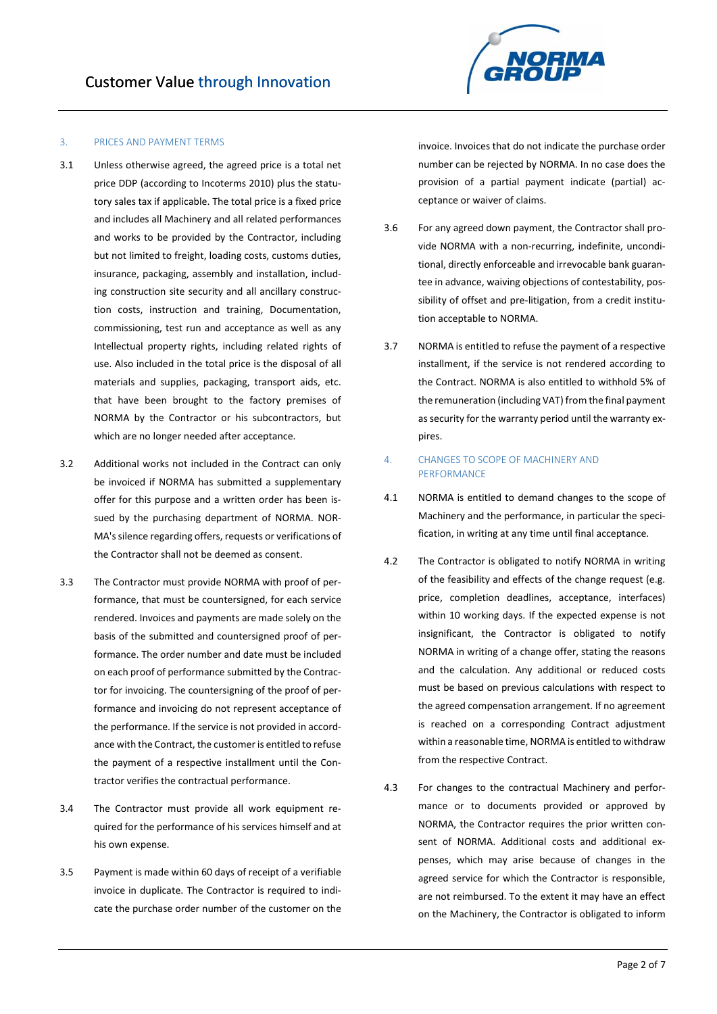# 3. PRICES AND PAYMENT TERMS

- 3.1 Unless otherwise agreed, the agreed price is a total net price DDP (according to Incoterms 2010) plus the statutory sales tax if applicable. The total price is a fixed price and includes all Machinery and all related performances and works to be provided by the Contractor, including but not limited to freight, loading costs, customs duties, insurance, packaging, assembly and installation, including construction site security and all ancillary construction costs, instruction and training, Documentation, commissioning, test run and acceptance as well as any Intellectual property rights, including related rights of use. Also included in the total price is the disposal of all materials and supplies, packaging, transport aids, etc. that have been brought to the factory premises of NORMA by the Contractor or his subcontractors, but which are no longer needed after acceptance.
- 3.2 Additional works not included in the Contract can only be invoiced if NORMA has submitted a supplementary offer for this purpose and a written order has been issued by the purchasing department of NORMA. NOR-MA's silence regarding offers, requests or verifications of the Contractor shall not be deemed as consent.
- 3.3 The Contractor must provide NORMA with proof of performance, that must be countersigned, for each service rendered. Invoices and payments are made solely on the basis of the submitted and countersigned proof of performance. The order number and date must be included on each proof of performance submitted by the Contractor for invoicing. The countersigning of the proof of performance and invoicing do not represent acceptance of the performance. If the service is not provided in accordance with the Contract, the customer is entitled to refuse the payment of a respective installment until the Contractor verifies the contractual performance.
- 3.4 The Contractor must provide all work equipment required for the performance of his services himself and at his own expense.
- 3.5 Payment is made within 60 days of receipt of a verifiable invoice in duplicate. The Contractor is required to indicate the purchase order number of the customer on the



invoice. Invoices that do not indicate the purchase order number can be rejected by NORMA. In no case does the provision of a partial payment indicate (partial) acceptance or waiver of claims.

- 3.6 For any agreed down payment, the Contractor shall provide NORMA with a non-recurring, indefinite, unconditional, directly enforceable and irrevocable bank guarantee in advance, waiving objections of contestability, possibility of offset and pre-litigation, from a credit institution acceptable to NORMA.
- 3.7 NORMA is entitled to refuse the payment of a respective installment, if the service is not rendered according to the Contract. NORMA is also entitled to withhold 5% of the remuneration (including VAT) from the final payment as security for the warranty period until the warranty expires.

# 4. CHANGES TO SCOPE OF MACHINERY AND PERFORMANCE

- 4.1 NORMA is entitled to demand changes to the scope of Machinery and the performance, in particular the specification, in writing at any time until final acceptance.
- 4.2 The Contractor is obligated to notify NORMA in writing of the feasibility and effects of the change request (e.g. price, completion deadlines, acceptance, interfaces) within 10 working days. If the expected expense is not insignificant, the Contractor is obligated to notify NORMA in writing of a change offer, stating the reasons and the calculation. Any additional or reduced costs must be based on previous calculations with respect to the agreed compensation arrangement. If no agreement is reached on a corresponding Contract adjustment within a reasonable time, NORMA is entitled to withdraw from the respective Contract.
- 4.3 For changes to the contractual Machinery and performance or to documents provided or approved by NORMA, the Contractor requires the prior written consent of NORMA. Additional costs and additional expenses, which may arise because of changes in the agreed service for which the Contractor is responsible, are not reimbursed. To the extent it may have an effect on the Machinery, the Contractor is obligated to inform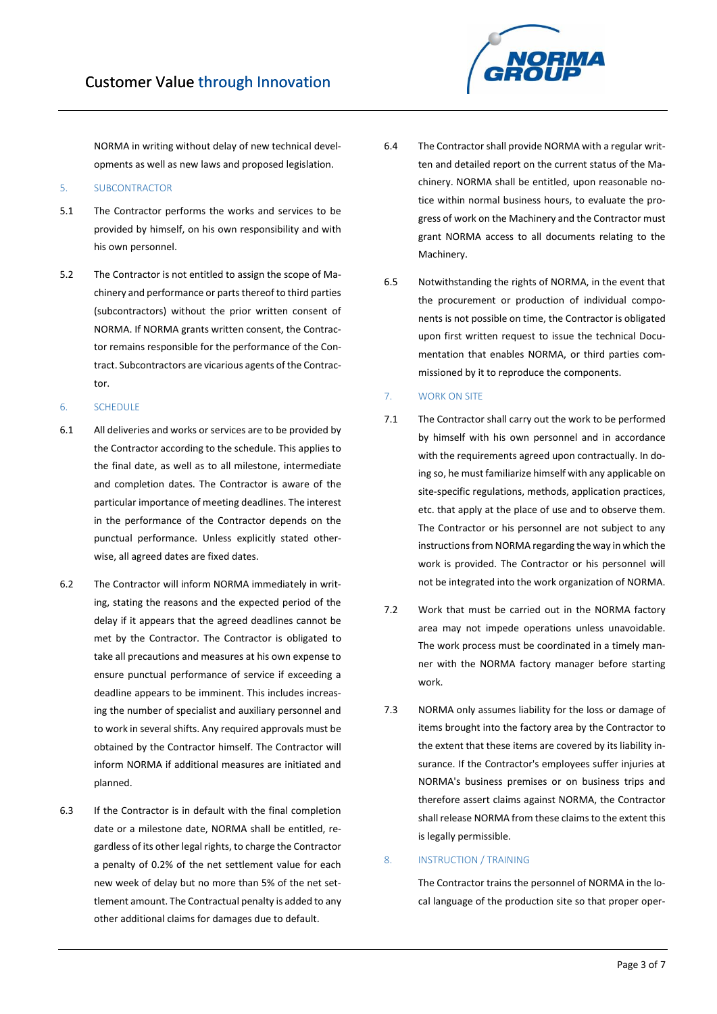NORMA

NORMA in writing without delay of new technical developments as well as new laws and proposed legislation.

- 5. SUBCONTRACTOR
- 5.1 The Contractor performs the works and services to be provided by himself, on his own responsibility and with his own personnel.
- 5.2 The Contractor is not entitled to assign the scope of Machinery and performance or parts thereof to third parties (subcontractors) without the prior written consent of NORMA. If NORMA grants written consent, the Contractor remains responsible for the performance of the Contract. Subcontractors are vicarious agents of the Contractor.

# 6. SCHEDULE

- 6.1 All deliveries and works or services are to be provided by the Contractor according to the schedule. This applies to the final date, as well as to all milestone, intermediate and completion dates. The Contractor is aware of the particular importance of meeting deadlines. The interest in the performance of the Contractor depends on the punctual performance. Unless explicitly stated otherwise, all agreed dates are fixed dates.
- 6.2 The Contractor will inform NORMA immediately in writing, stating the reasons and the expected period of the delay if it appears that the agreed deadlines cannot be met by the Contractor. The Contractor is obligated to take all precautions and measures at his own expense to ensure punctual performance of service if exceeding a deadline appears to be imminent. This includes increasing the number of specialist and auxiliary personnel and to work in several shifts. Any required approvals must be obtained by the Contractor himself. The Contractor will inform NORMA if additional measures are initiated and planned.
- 6.3 If the Contractor is in default with the final completion date or a milestone date, NORMA shall be entitled, regardless of its other legal rights, to charge the Contractor a penalty of 0.2% of the net settlement value for each new week of delay but no more than 5% of the net settlement amount. The Contractual penalty is added to any other additional claims for damages due to default.
- 6.4 The Contractor shall provide NORMA with a regular written and detailed report on the current status of the Machinery. NORMA shall be entitled, upon reasonable notice within normal business hours, to evaluate the progress of work on the Machinery and the Contractor must grant NORMA access to all documents relating to the Machinery.
- 6.5 Notwithstanding the rights of NORMA, in the event that the procurement or production of individual components is not possible on time, the Contractor is obligated upon first written request to issue the technical Documentation that enables NORMA, or third parties commissioned by it to reproduce the components.
- 7. WORK ON SITE
- 7.1 The Contractor shall carry out the work to be performed by himself with his own personnel and in accordance with the requirements agreed upon contractually. In doing so, he must familiarize himself with any applicable on site-specific regulations, methods, application practices, etc. that apply at the place of use and to observe them. The Contractor or his personnel are not subject to any instructions from NORMA regarding the way in which the work is provided. The Contractor or his personnel will not be integrated into the work organization of NORMA.
- 7.2 Work that must be carried out in the NORMA factory area may not impede operations unless unavoidable. The work process must be coordinated in a timely manner with the NORMA factory manager before starting work.
- 7.3 NORMA only assumes liability for the loss or damage of items brought into the factory area by the Contractor to the extent that these items are covered by its liability insurance. If the Contractor's employees suffer injuries at NORMA's business premises or on business trips and therefore assert claims against NORMA, the Contractor shall release NORMA from these claims to the extent this is legally permissible.

# 8. INSTRUCTION / TRAINING

The Contractor trains the personnel of NORMA in the local language of the production site so that proper oper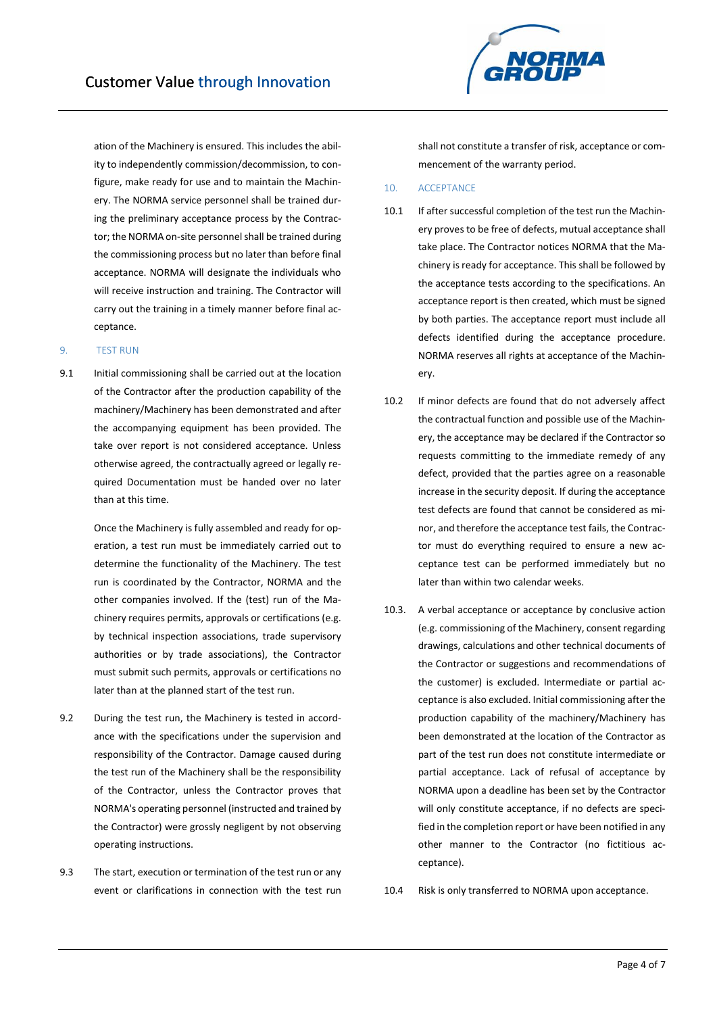ation of the Machinery is ensured. This includes the ability to independently commission/decommission, to configure, make ready for use and to maintain the Machinery. The NORMA service personnel shall be trained during the preliminary acceptance process by the Contractor; the NORMA on-site personnel shall be trained during the commissioning process but no later than before final acceptance. NORMA will designate the individuals who will receive instruction and training. The Contractor will carry out the training in a timely manner before final acceptance.

#### 9. TEST RUN

9.1 Initial commissioning shall be carried out at the location of the Contractor after the production capability of the machinery/Machinery has been demonstrated and after the accompanying equipment has been provided. The take over report is not considered acceptance. Unless otherwise agreed, the contractually agreed or legally required Documentation must be handed over no later than at this time.

> Once the Machinery is fully assembled and ready for operation, a test run must be immediately carried out to determine the functionality of the Machinery. The test run is coordinated by the Contractor, NORMA and the other companies involved. If the (test) run of the Machinery requires permits, approvals or certifications (e.g. by technical inspection associations, trade supervisory authorities or by trade associations), the Contractor must submit such permits, approvals or certifications no later than at the planned start of the test run.

- 9.2 During the test run, the Machinery is tested in accordance with the specifications under the supervision and responsibility of the Contractor. Damage caused during the test run of the Machinery shall be the responsibility of the Contractor, unless the Contractor proves that NORMA's operating personnel (instructed and trained by the Contractor) were grossly negligent by not observing operating instructions.
- 9.3 The start, execution or termination of the test run or any event or clarifications in connection with the test run



#### 10. ACCEPTANCE

- 10.1 If after successful completion of the test run the Machinery proves to be free of defects, mutual acceptance shall take place. The Contractor notices NORMA that the Machinery is ready for acceptance. This shall be followed by the acceptance tests according to the specifications. An acceptance report is then created, which must be signed by both parties. The acceptance report must include all defects identified during the acceptance procedure. NORMA reserves all rights at acceptance of the Machinery.
- 10.2 If minor defects are found that do not adversely affect the contractual function and possible use of the Machinery, the acceptance may be declared if the Contractor so requests committing to the immediate remedy of any defect, provided that the parties agree on a reasonable increase in the security deposit. If during the acceptance test defects are found that cannot be considered as minor, and therefore the acceptance test fails, the Contractor must do everything required to ensure a new acceptance test can be performed immediately but no later than within two calendar weeks.
- 10.3. A verbal acceptance or acceptance by conclusive action (e.g. commissioning of the Machinery, consent regarding drawings, calculations and other technical documents of the Contractor or suggestions and recommendations of the customer) is excluded. Intermediate or partial acceptance is also excluded. Initial commissioning after the production capability of the machinery/Machinery has been demonstrated at the location of the Contractor as part of the test run does not constitute intermediate or partial acceptance. Lack of refusal of acceptance by NORMA upon a deadline has been set by the Contractor will only constitute acceptance, if no defects are specified in the completion report or have been notified in any other manner to the Contractor (no fictitious acceptance).
- 10.4 Risk is only transferred to NORMA upon acceptance.

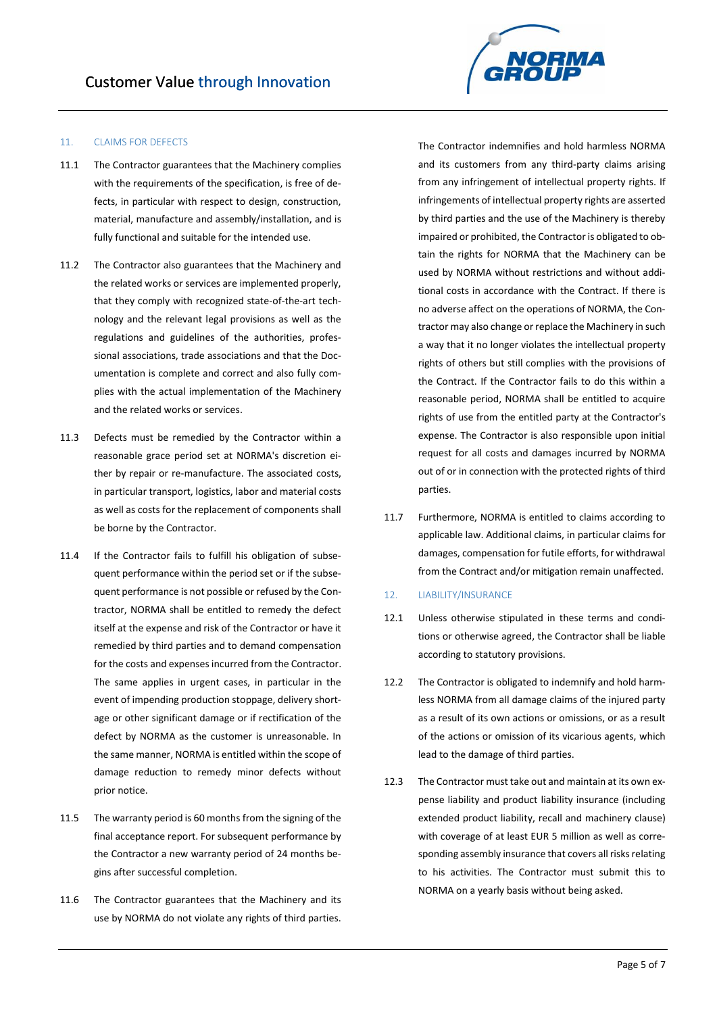### 11. CLAIMS FOR DEFECTS

- 11.1 The Contractor guarantees that the Machinery complies with the requirements of the specification, is free of defects, in particular with respect to design, construction, material, manufacture and assembly/installation, and is fully functional and suitable for the intended use.
- 11.2 The Contractor also guarantees that the Machinery and the related works or services are implemented properly, that they comply with recognized state-of-the-art technology and the relevant legal provisions as well as the regulations and guidelines of the authorities, professional associations, trade associations and that the Documentation is complete and correct and also fully complies with the actual implementation of the Machinery and the related works or services.
- 11.3 Defects must be remedied by the Contractor within a reasonable grace period set at NORMA's discretion either by repair or re-manufacture. The associated costs, in particular transport, logistics, labor and material costs as well as costs for the replacement of components shall be borne by the Contractor.
- 11.4 If the Contractor fails to fulfill his obligation of subsequent performance within the period set or if the subsequent performance is not possible or refused by the Contractor, NORMA shall be entitled to remedy the defect itself at the expense and risk of the Contractor or have it remedied by third parties and to demand compensation for the costs and expenses incurred from the Contractor. The same applies in urgent cases, in particular in the event of impending production stoppage, delivery shortage or other significant damage or if rectification of the defect by NORMA as the customer is unreasonable. In the same manner, NORMA is entitled within the scope of damage reduction to remedy minor defects without prior notice.
- 11.5 The warranty period is 60 months from the signing of the final acceptance report. For subsequent performance by the Contractor a new warranty period of 24 months begins after successful completion.
- 11.6 The Contractor guarantees that the Machinery and its use by NORMA do not violate any rights of third parties.



The Contractor indemnifies and hold harmless NORMA and its customers from any third-party claims arising from any infringement of intellectual property rights. If infringements of intellectual property rights are asserted by third parties and the use of the Machinery is thereby impaired or prohibited, the Contractor is obligated to obtain the rights for NORMA that the Machinery can be used by NORMA without restrictions and without additional costs in accordance with the Contract. If there is no adverse affect on the operations of NORMA, the Contractor may also change or replace the Machinery in such a way that it no longer violates the intellectual property rights of others but still complies with the provisions of the Contract. If the Contractor fails to do this within a reasonable period, NORMA shall be entitled to acquire rights of use from the entitled party at the Contractor's expense. The Contractor is also responsible upon initial request for all costs and damages incurred by NORMA out of or in connection with the protected rights of third parties.

11.7 Furthermore, NORMA is entitled to claims according to applicable law. Additional claims, in particular claims for damages, compensation for futile efforts, for withdrawal from the Contract and/or mitigation remain unaffected.

# 12. LIABILITY/INSURANCE

- 12.1 Unless otherwise stipulated in these terms and conditions or otherwise agreed, the Contractor shall be liable according to statutory provisions.
- 12.2 The Contractor is obligated to indemnify and hold harmless NORMA from all damage claims of the injured party as a result of its own actions or omissions, or as a result of the actions or omission of its vicarious agents, which lead to the damage of third parties.
- 12.3 The Contractor must take out and maintain at its own expense liability and product liability insurance (including extended product liability, recall and machinery clause) with coverage of at least EUR 5 million as well as corresponding assembly insurance that covers all risks relating to his activities. The Contractor must submit this to NORMA on a yearly basis without being asked.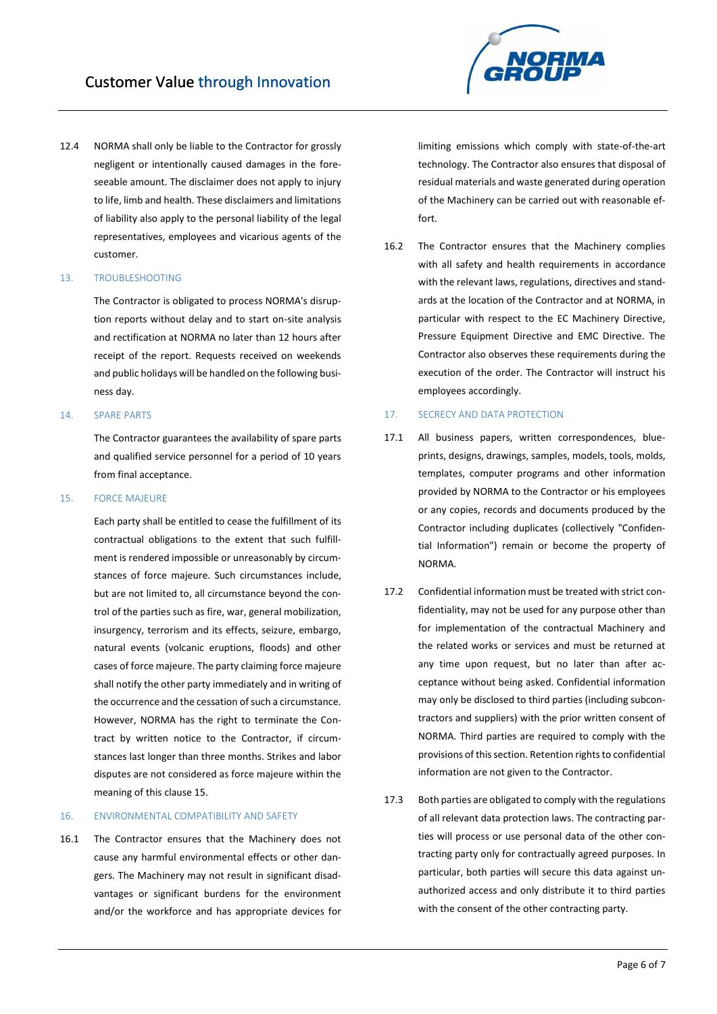12.4 NORMA shall only be liable to the Contractor for grossly negligent or intentionally caused damages in the foreseeable amount. The disclaimer does not apply to injury to life, limb and health. These disclaimers and limitations of liability also apply to the personal liability of the legal representatives, employees and vicarious agents of the customer.

#### 13. TROUBLESHOOTING

The Contractor is obligated to process NORMA's disruption reports without delay and to start on-site analysis and rectification at NORMA no later than 12 hours after receipt of the report. Requests received on weekends and public holidays will be handled on the following business day.

#### 14. SPARE PARTS

The Contractor guarantees the availability of spare parts and qualified service personnel for a period of 10 years from final acceptance.

# 15. FORCE MAJEURE

Each party shall be entitled to cease the fulfillment of its contractual obligations to the extent that such fulfillment is rendered impossible or unreasonably by circumstances of force majeure. Such circumstances include, but are not limited to, all circumstance beyond the control of the parties such as fire, war, general mobilization, insurgency, terrorism and its effects, seizure, embargo, natural events (volcanic eruptions, floods) and other cases of force majeure. The party claiming force majeure shall notify the other party immediately and in writing of the occurrence and the cessation of such a circumstance. However, NORMA has the right to terminate the Contract by written notice to the Contractor, if circumstances last longer than three months. Strikes and labor disputes are not considered as force majeure within the meaning of this clause 15.

#### 16. ENVIRONMENTAL COMPATIBILITY AND SAFETY

16.1 The Contractor ensures that the Machinery does not cause any harmful environmental effects or other dangers. The Machinery may not result in significant disadvantages or significant burdens for the environment and/or the workforce and has appropriate devices for



16.2 The Contractor ensures that the Machinery complies with all safety and health requirements in accordance with the relevant laws, regulations, directives and standards at the location of the Contractor and at NORMA, in particular with respect to the EC Machinery Directive, Pressure Equipment Directive and EMC Directive. The Contractor also observes these requirements during the execution of the order. The Contractor will instruct his employees accordingly.

# 17. SECRECY AND DATA PROTECTION

- 17.1 All business papers, written correspondences, blueprints, designs, drawings, samples, models, tools, molds, templates, computer programs and other information provided by NORMA to the Contractor or his employees or any copies, records and documents produced by the Contractor including duplicates (collectively "Confidential Information") remain or become the property of NORMA.
- 17.2 Confidential information must be treated with strict confidentiality, may not be used for any purpose other than for implementation of the contractual Machinery and the related works or services and must be returned at any time upon request, but no later than after acceptance without being asked. Confidential information may only be disclosed to third parties (including subcontractors and suppliers) with the prior written consent of NORMA. Third parties are required to comply with the provisions of this section. Retention rights to confidential information are not given to the Contractor.
- 17.3 Both parties are obligated to comply with the regulations of all relevant data protection laws. The contracting parties will process or use personal data of the other contracting party only for contractually agreed purposes. In particular, both parties will secure this data against unauthorized access and only distribute it to third parties with the consent of the other contracting party.